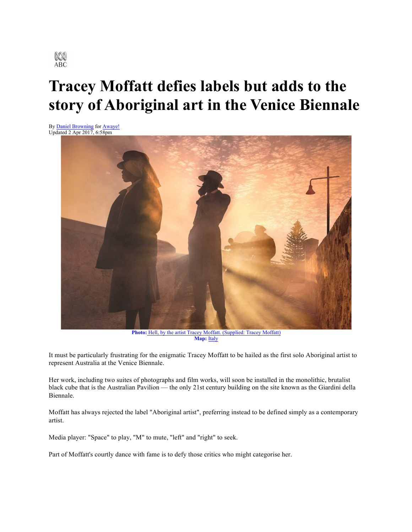

## **Tracey Moffatt defies labels but adds to the story of Aboriginal art in the Venice Biennale**

By Daniel Browning for Awaye! Updated 2 Apr 2017, 6:58pm



**Photo:** Hell, by the artist Tracey Moffatt. (Supplied: Tracey Moffatt) Map: Italy

It must be particularly frustrating for the enigmatic Tracey Moffatt to be hailed as the first solo Aboriginal artist to represent Australia at the Venice Biennale.

Her work, including two suites of photographs and film works, will soon be installed in the monolithic, brutalist black cube that is the Australian Pavilion — the only 21st century building on the site known as the Giardini della Biennale.

Moffatt has always rejected the label "Aboriginal artist", preferring instead to be defined simply as a contemporary artist.

Media player: "Space" to play, "M" to mute, "left" and "right" to seek.

Part of Moffatt's courtly dance with fame is to defy those critics who might categorise her.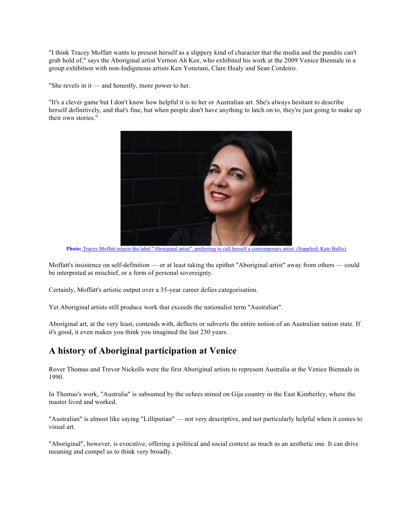"I think Tracey Moffatt wants to present herself as a slippery kind of character that the media and the pundits can't grab hold of," says the Aboriginal artist Vernon Ah Kee, who exhibited his work at the 2009 Venice Biennale in a group exhibition with non-Indigenous artists Ken Yonetani, Clare Healy and Sean Cordeiro.

"She revels in it — and honestly, more power to her.

"It's a clever game but I don't know how helpful it is to her or Australian art. She's always hesitant to describe herself definitively, and that's fine, but when people don't have anything to latch on to, they're just going to make up their own stories."



**Photo:** Tracey Moffatt rejects the label "Aboriginal artist", preferring to call herself a contemporary artist. (Supplied: Kate Ballis)

Moffatt's insistence on self-definition — or at least taking the epithet "Aboriginal artist" away from others — could be interpreted as mischief, or a form of personal sovereignty.

Certainly, Moffatt's artistic output over a 35-year career defies categorisation.

Yet Aboriginal artists still produce work that exceeds the nationalist term "Australian".

Aboriginal art, at the very least, contends with, deflects or subverts the entire notion of an Australian nation state. If it's good, it even makes you think you imagined the last 230 years.

## **A history of Aboriginal participation at Venice**

Rover Thomas and Trevor Nickolls were the first Aboriginal artists to represent Australia at the Venice Biennale in 1990.

In Thomas's work, "Australia" is subsumed by the ochres mined on Gija country in the East Kimberley, where the master lived and worked.

"Australian" is almost like saying "Lilliputian" — not very descriptive, and not particularly helpful when it comes to visual art.

"Aboriginal", however, is evocative, offering a political and social context as much as an aesthetic one. It can drive meaning and compel us to think very broadly.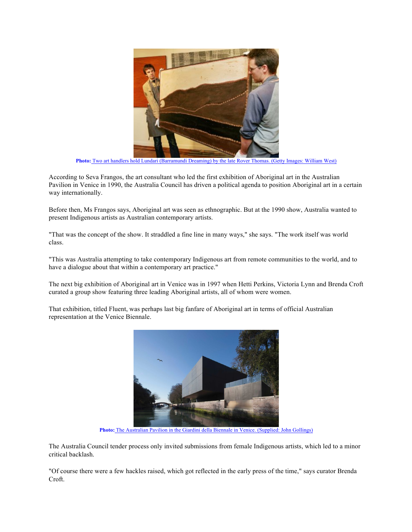

**Photo:** Two art handlers hold Lundari (Barramundi Dreaming) by the late Rover Thomas. (Getty Images: William West)

According to Seva Frangos, the art consultant who led the first exhibition of Aboriginal art in the Australian Pavilion in Venice in 1990, the Australia Council has driven a political agenda to position Aboriginal art in a certain way internationally.

Before then, Ms Frangos says, Aboriginal art was seen as ethnographic. But at the 1990 show, Australia wanted to present Indigenous artists as Australian contemporary artists.

"That was the concept of the show. It straddled a fine line in many ways," she says. "The work itself was world class.

"This was Australia attempting to take contemporary Indigenous art from remote communities to the world, and to have a dialogue about that within a contemporary art practice."

The next big exhibition of Aboriginal art in Venice was in 1997 when Hetti Perkins, Victoria Lynn and Brenda Croft curated a group show featuring three leading Aboriginal artists, all of whom were women.

That exhibition, titled Fluent, was perhaps last big fanfare of Aboriginal art in terms of official Australian representation at the Venice Biennale.



**Photo:** The Australian Pavilion in the Giardini della Biennale in Venice. (Supplied: John Gollings)

The Australia Council tender process only invited submissions from female Indigenous artists, which led to a minor critical backlash.

"Of course there were a few hackles raised, which got reflected in the early press of the time," says curator Brenda Croft.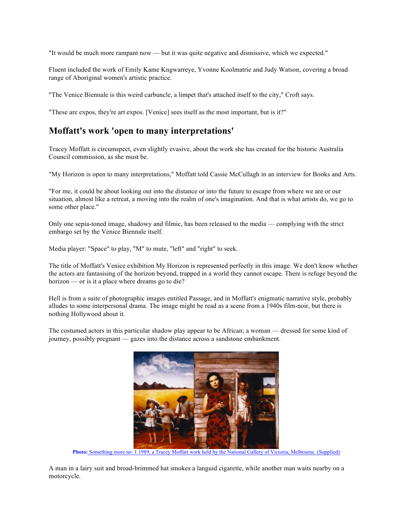"It would be much more rampant now — but it was quite negative and dismissive, which we expected."

Fluent included the work of Emily Kame Kngwarreye, Yvonne Koolmatrie and Judy Watson, covering a broad range of Aboriginal women's artistic practice.

"The Venice Biennale is this weird carbuncle, a limpet that's attached itself to the city," Croft says.

"These are expos, they're art expos. [Venice] sees itself as the most important, but is it?"

## **Moffatt's work 'open to many interpretations'**

Tracey Moffatt is circumspect, even slightly evasive, about the work she has created for the historic Australia Council commission, as she must be.

"My Horizon is open to many interpretations," Moffatt told Cassie McCullagh in an interview for Books and Arts.

"For me, it could be about looking out into the distance or into the future to escape from where we are or our situation, almost like a retreat, a moving into the realm of one's imagination. And that is what artists do, we go to some other place."

Only one sepia-toned image, shadowy and filmic, has been released to the media — complying with the strict embargo set by the Venice Biennale itself.

Media player: "Space" to play, "M" to mute, "left" and "right" to seek.

The title of Moffatt's Venice exhibition My Horizon is represented perfectly in this image. We don't know whether the actors are fantasising of the horizon beyond, trapped in a world they cannot escape. There is refuge beyond the horizon — or is it a place where dreams go to die?

Hell is from a suite of photographic images entitled Passage, and in Moffatt's enigmatic narrative style, probably alludes to some interpersonal drama. The image might be read as a scene from a 1940s film-noir, but there is nothing Hollywood about it.

The costumed actors in this particular shadow play appear to be African; a woman — dressed for some kind of journey, possibly pregnant — gazes into the distance across a sandstone embankment.



**Photo:** Something more no. 1 1989, a Tracey Moffatt work held by the National Gallery of Victoria, Melbourne. (Supplied)

A man in a lairy suit and broad-brimmed hat smokes a languid cigarette, while another man waits nearby on a motorcycle.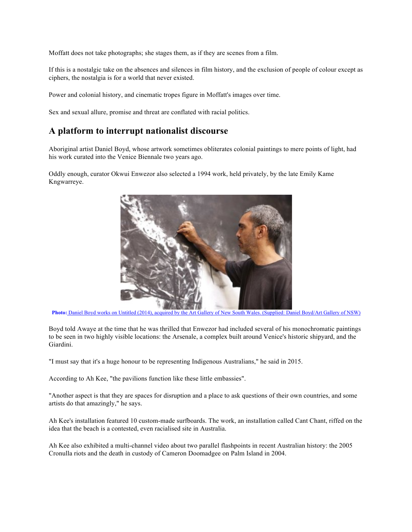Moffatt does not take photographs; she stages them, as if they are scenes from a film.

If this is a nostalgic take on the absences and silences in film history, and the exclusion of people of colour except as ciphers, the nostalgia is for a world that never existed.

Power and colonial history, and cinematic tropes figure in Moffatt's images over time.

Sex and sexual allure, promise and threat are conflated with racial politics.

## **A platform to interrupt nationalist discourse**

Aboriginal artist Daniel Boyd, whose artwork sometimes obliterates colonial paintings to mere points of light, had his work curated into the Venice Biennale two years ago.

Oddly enough, curator Okwui Enwezor also selected a 1994 work, held privately, by the late Emily Kame Kngwarreye.



**Photo:** Daniel Boyd works on Untitled (2014), acquired by the Art Gallery of New South Wales. (Supplied: Daniel Boyd/Art Gallery of NSW)

Boyd told Awaye at the time that he was thrilled that Enwezor had included several of his monochromatic paintings to be seen in two highly visible locations: the Arsenale, a complex built around Venice's historic shipyard, and the Giardini.

"I must say that it's a huge honour to be representing Indigenous Australians," he said in 2015.

According to Ah Kee, "the pavilions function like these little embassies".

"Another aspect is that they are spaces for disruption and a place to ask questions of their own countries, and some artists do that amazingly," he says.

Ah Kee's installation featured 10 custom-made surfboards. The work, an installation called Cant Chant, riffed on the idea that the beach is a contested, even racialised site in Australia.

Ah Kee also exhibited a multi-channel video about two parallel flashpoints in recent Australian history: the 2005 Cronulla riots and the death in custody of Cameron Doomadgee on Palm Island in 2004.